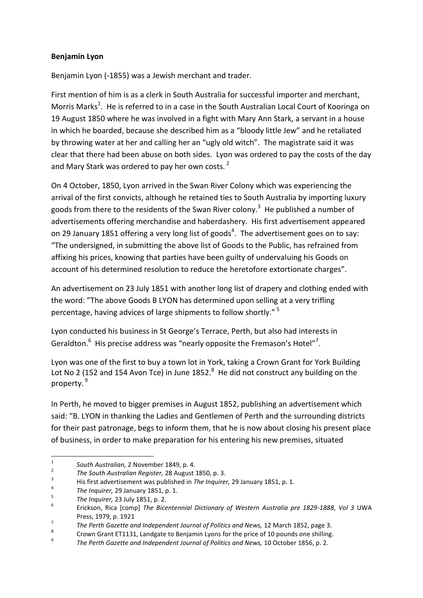## **Benjamin Lyon**

Benjamin Lyon (-1855) was a Jewish merchant and trader.

First mention of him is as a clerk in South Australia for successful importer and merchant, Morris Marks<sup>1</sup>. He is referred to in a case in the South Australian Local Court of Kooringa on 19 August 1850 where he was involved in a fight with Mary Ann Stark, a servant in a house in which he boarded, because she described him as a "bloody little Jew" and he retaliated by throwing water at her and calling her an "ugly old witch". The magistrate said it was clear that there had been abuse on both sides. Lyon was ordered to pay the costs of the day and Mary Stark was ordered to pay her own costs.<sup>2</sup>

On 4 October, 1850, Lyon arrived in the Swan River Colony which was experiencing the arrival of the first convicts, although he retained ties to South Australia by importing luxury goods from there to the residents of the Swan River colony.<sup>3</sup> He published a number of advertisements offering merchandise and haberdashery. His first advertisement appeared on 29 January 1851 offering a very long list of goods<sup>4</sup>. The advertisement goes on to say: "The undersigned, in submitting the above list of Goods to the Public, has refrained from affixing his prices, knowing that parties have been guilty of undervaluing his Goods on account of his determined resolution to reduce the heretofore extortionate charges".

An advertisement on 23 July 1851 with another long list of drapery and clothing ended with the word: "The above Goods B LYON has determined upon selling at a very trifling percentage, having advices of large shipments to follow shortly." <sup>5</sup>

Lyon conducted his business in St George's Terrace, Perth, but also had interests in Geraldton. $<sup>6</sup>$  His precise address was "nearly opposite the Fremason's Hotel"<sup>7</sup>.</sup>

Lyon was one of the first to buy a town lot in York, taking a Crown Grant for York Building Lot No 2 (152 and 154 Avon Tce) in June 1852. $8$  He did not construct any building on the property. <sup>9</sup>

In Perth, he moved to bigger premises in August 1852, publishing an advertisement which said: "B. LYON in thanking the Ladies and Gentlemen of Perth and the surrounding districts for their past patronage, begs to inform them, that he is now about closing his present place of business, in order to make preparation for his entering his new premises, situated

 $\frac{1}{1}$ *South Australian,* 2 November 1849, p. 4.

<sup>2</sup> *The South Australian Register,* 28 August 1850, p. 3.

<sup>3</sup> His first advertisement was published in *The Inquirer,* 29 January 1851, p. 1.

<sup>4</sup> *The Inquirer,* 29 January 1851, p. 1.

<sup>5</sup> *The Inquirer,* 23 July 1851, p. 2.

<sup>6</sup> Erickson, Rica [comp] *The Bicentennial Dictionary of Western Australia pre 1829-1888, Vol 3* UWA Press, 1979, p. 1921

<sup>7</sup> *The Perth Gazette and Independent Journal of Politics and News,* 12 March 1852, page 3.

<sup>8</sup> Crown Grant ET1131, Landgate to Benjamin Lyons for the price of 10 pounds one shilling.

<sup>9</sup> *The Perth Gazette and Independent Journal of Politics and News,* 10 October 1856, p. 2.